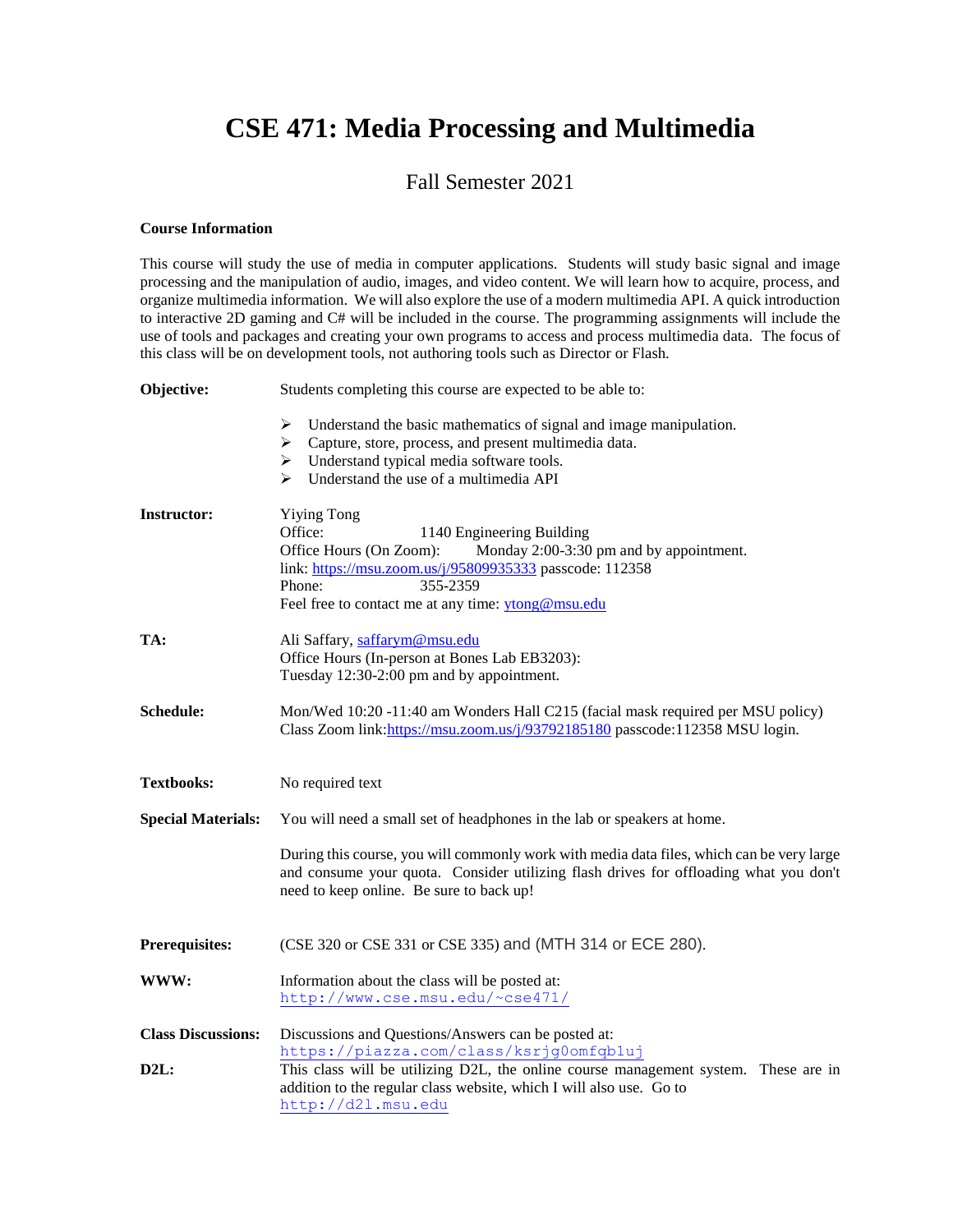## **CSE 471: Media Processing and Multimedia**

## Fall Semester 2021

## **Course Information**

This course will study the use of media in computer applications. Students will study basic signal and image processing and the manipulation of audio, images, and video content. We will learn how to acquire, process, and organize multimedia information. We will also explore the use of a modern multimedia API. A quick introduction to interactive 2D gaming and C# will be included in the course. The programming assignments will include the use of tools and packages and creating your own programs to access and process multimedia data. The focus of this class will be on development tools, not authoring tools such as Director or Flash.

| Objective:                               | Students completing this course are expected to be able to:                                                                                                                                                                                                                        |  |
|------------------------------------------|------------------------------------------------------------------------------------------------------------------------------------------------------------------------------------------------------------------------------------------------------------------------------------|--|
|                                          | Understand the basic mathematics of signal and image manipulation.<br>➤<br>> Capture, store, process, and present multimedia data.<br>$\triangleright$ Understand typical media software tools.<br>$\triangleright$ Understand the use of a multimedia API                         |  |
| <b>Instructor:</b>                       | <b>Yiying Tong</b><br>Office:<br>1140 Engineering Building<br>Office Hours (On Zoom):<br>Monday 2:00-3:30 pm and by appointment.<br>link: https://msu.zoom.us/j/95809935333 passcode: 112358<br>Phone:<br>355-2359<br>Feel free to contact me at any time: ytong@msu.edu           |  |
| TA:                                      | Ali Saffary, saffarym@msu.edu<br>Office Hours (In-person at Bones Lab EB3203):<br>Tuesday 12:30-2:00 pm and by appointment.                                                                                                                                                        |  |
| Schedule:                                | Mon/Wed 10:20 -11:40 am Wonders Hall C215 (facial mask required per MSU policy)<br>Class Zoom link: https://msu.zoom.us/j/93792185180 passcode:112358 MSU login.                                                                                                                   |  |
| <b>Textbooks:</b>                        | No required text                                                                                                                                                                                                                                                                   |  |
| <b>Special Materials:</b>                | You will need a small set of headphones in the lab or speakers at home.                                                                                                                                                                                                            |  |
|                                          | During this course, you will commonly work with media data files, which can be very large<br>and consume your quota. Consider utilizing flash drives for offloading what you don't<br>need to keep online. Be sure to back up!                                                     |  |
| Prerequisites:                           | (CSE 320 or CSE 331 or CSE 335) and (MTH 314 or ECE 280).                                                                                                                                                                                                                          |  |
| WWW:                                     | Information about the class will be posted at:<br>http://www.cse.msu.edu/~cse471/                                                                                                                                                                                                  |  |
| <b>Class Discussions:</b><br><b>D2L:</b> | Discussions and Questions/Answers can be posted at:<br>https://piazza.com/class/ksrjg0omfqb1uj<br>This class will be utilizing D2L, the online course management system. These are in<br>addition to the regular class website, which I will also use. Go to<br>http://d21.msu.edu |  |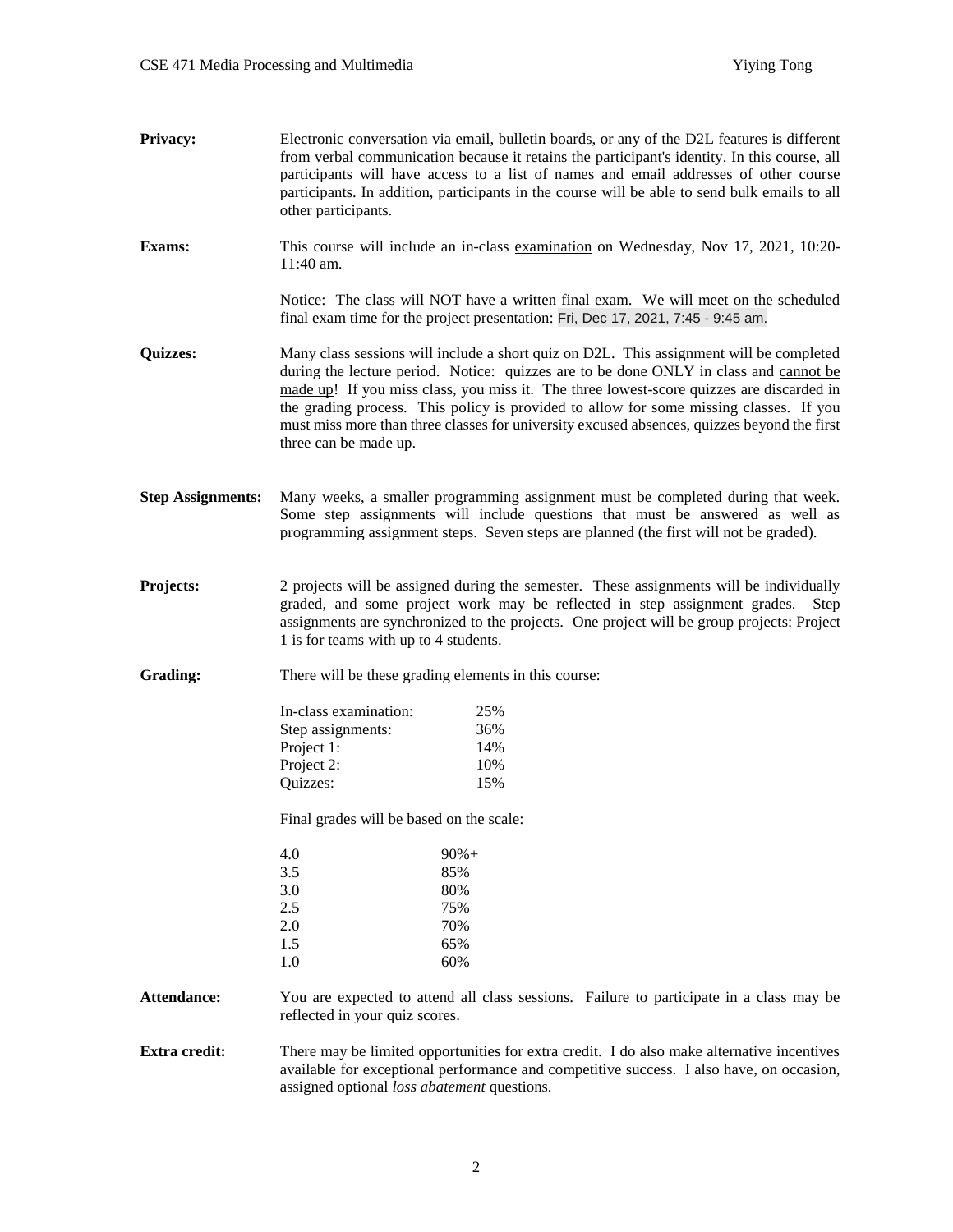- **Privacy:** Electronic conversation via email, bulletin boards, or any of the D2L features is different from verbal communication because it retains the participant's identity. In this course, all participants will have access to a list of names and email addresses of other course participants. In addition, participants in the course will be able to send bulk emails to all other participants.
- **Exams:** This course will include an in-class examination on Wednesday, Nov 17, 2021, 10:20-11:40 am.

Notice: The class will NOT have a written final exam. We will meet on the scheduled final exam time for the project presentation: Fri, Dec 17, 2021, 7:45 - 9:45 am.

- **Quizzes:** Many class sessions will include a short quiz on D2L. This assignment will be completed during the lecture period. Notice: quizzes are to be done ONLY in class and cannot be made up! If you miss class, you miss it. The three lowest-score quizzes are discarded in the grading process. This policy is provided to allow for some missing classes. If you must miss more than three classes for university excused absences, quizzes beyond the first three can be made up.
- **Step Assignments:** Many weeks, a smaller programming assignment must be completed during that week. Some step assignments will include questions that must be answered as well as programming assignment steps. Seven steps are planned (the first will not be graded).
- **Projects:** 2 projects will be assigned during the semester. These assignments will be individually graded, and some project work may be reflected in step assignment grades. Step assignments are synchronized to the projects. One project will be group projects: Project 1 is for teams with up to 4 students.
- Grading: There will be these grading elements in this course:

| In-class examination: | 25% |
|-----------------------|-----|
| Step assignments:     | 36% |
| Project 1:            | 14% |
| Project 2:            | 10% |
| Quizzes:              | 15% |

Final grades will be based on the scale:

| 4.0 | $90% +$ |
|-----|---------|
| 3.5 | 85%     |
| 3.0 | 80%     |
| 2.5 | 75%     |
| 2.0 | 70%     |
| 1.5 | 65%     |
| 1.0 | 60%     |
|     |         |

**Attendance:** You are expected to attend all class sessions. Failure to participate in a class may be reflected in your quiz scores.

**Extra credit:** There may be limited opportunities for extra credit. I do also make alternative incentives available for exceptional performance and competitive success. I also have, on occasion, assigned optional *loss abatement* questions.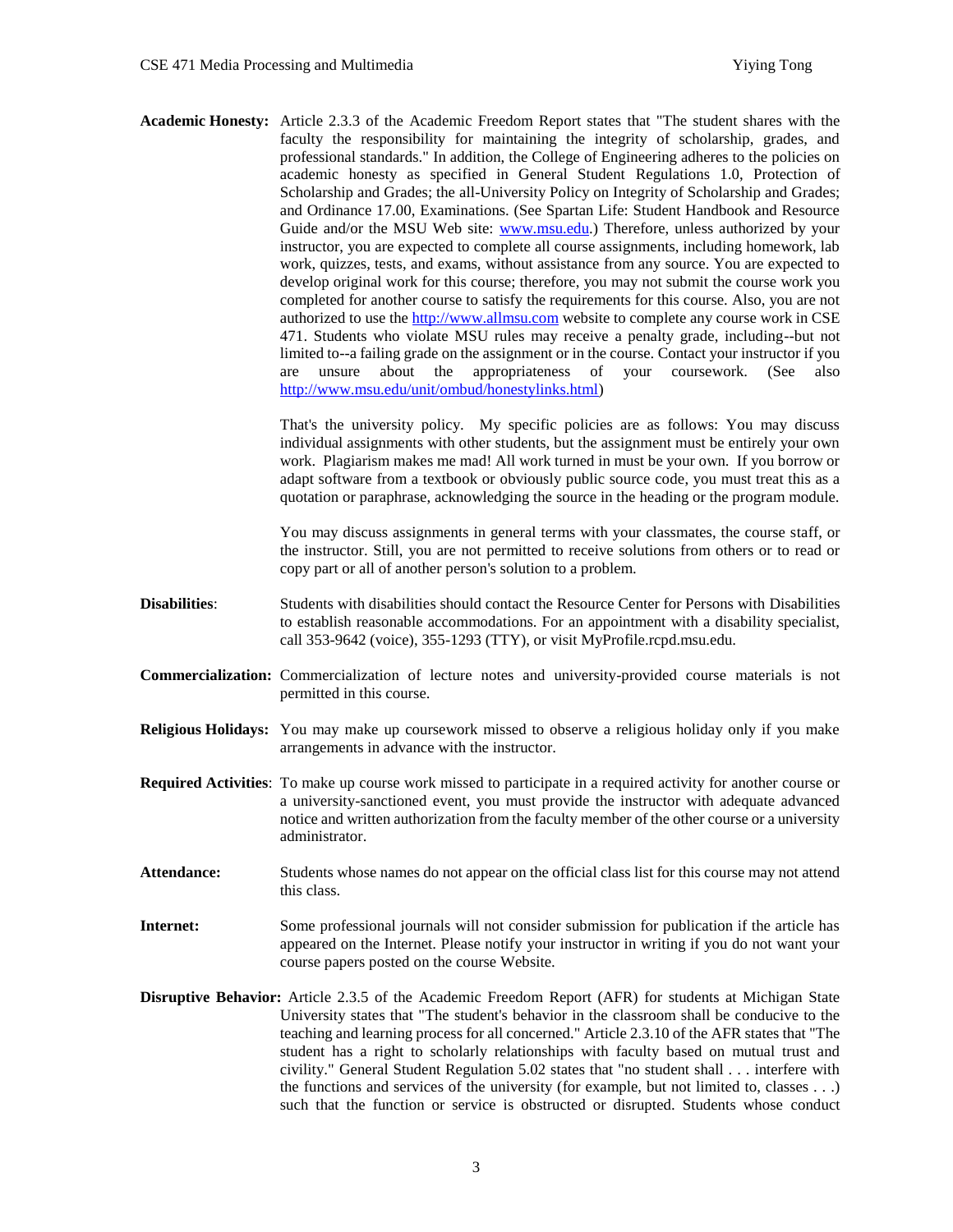**Academic Honesty:** Article 2.3.3 of the Academic Freedom Report states that "The student shares with the faculty the responsibility for maintaining the integrity of scholarship, grades, and professional standards." In addition, the College of Engineering adheres to the policies on academic honesty as specified in General Student Regulations 1.0, Protection of Scholarship and Grades; the all-University Policy on Integrity of Scholarship and Grades; and Ordinance 17.00, Examinations. (See Spartan Life: Student Handbook and Resource Guide and/or the MSU Web site: [www.msu.edu.](http://www.msu.edu/)) Therefore, unless authorized by your instructor, you are expected to complete all course assignments, including homework, lab work, quizzes, tests, and exams, without assistance from any source. You are expected to develop original work for this course; therefore, you may not submit the course work you completed for another course to satisfy the requirements for this course. Also, you are not authorized to use the [http://www.allmsu.com](http://www.allmsu.com/) website to complete any course work in CSE 471. Students who violate MSU rules may receive a penalty grade, including--but not limited to--a failing grade on the assignment or in the course. Contact your instructor if you are unsure about the appropriateness of your coursework. (See also [http://www.msu.edu/unit/ombud/honestylinks.html\)](http://www.msu.edu/unit/ombud/honestylinks.html)

> That's the university policy. My specific policies are as follows: You may discuss individual assignments with other students, but the assignment must be entirely your own work. Plagiarism makes me mad! All work turned in must be your own. If you borrow or adapt software from a textbook or obviously public source code, you must treat this as a quotation or paraphrase, acknowledging the source in the heading or the program module.

> You may discuss assignments in general terms with your classmates, the course staff, or the instructor. Still, you are not permitted to receive solutions from others or to read or copy part or all of another person's solution to a problem.

- **Disabilities**: Students with disabilities should contact the Resource Center for Persons with Disabilities to establish reasonable accommodations. For an appointment with a disability specialist, call 353-9642 (voice), 355-1293 (TTY), or visit MyProfile.rcpd.msu.edu.
- **Commercialization:** Commercialization of lecture notes and university-provided course materials is not permitted in this course.
- **Religious Holidays:** You may make up coursework missed to observe a religious holiday only if you make arrangements in advance with the instructor.
- **Required Activities**: To make up course work missed to participate in a required activity for another course or a university-sanctioned event, you must provide the instructor with adequate advanced notice and written authorization from the faculty member of the other course or a university administrator.
- **Attendance:** Students whose names do not appear on the official class list for this course may not attend this class.
- **Internet:** Some professional journals will not consider submission for publication if the article has appeared on the Internet. Please notify your instructor in writing if you do not want your course papers posted on the course Website.
- **Disruptive Behavior:** Article 2.3.5 of the Academic Freedom Report (AFR) for students at Michigan State University states that "The student's behavior in the classroom shall be conducive to the teaching and learning process for all concerned." Article 2.3.10 of the AFR states that "The student has a right to scholarly relationships with faculty based on mutual trust and civility." General Student Regulation 5.02 states that "no student shall . . . interfere with the functions and services of the university (for example, but not limited to, classes . . .) such that the function or service is obstructed or disrupted. Students whose conduct